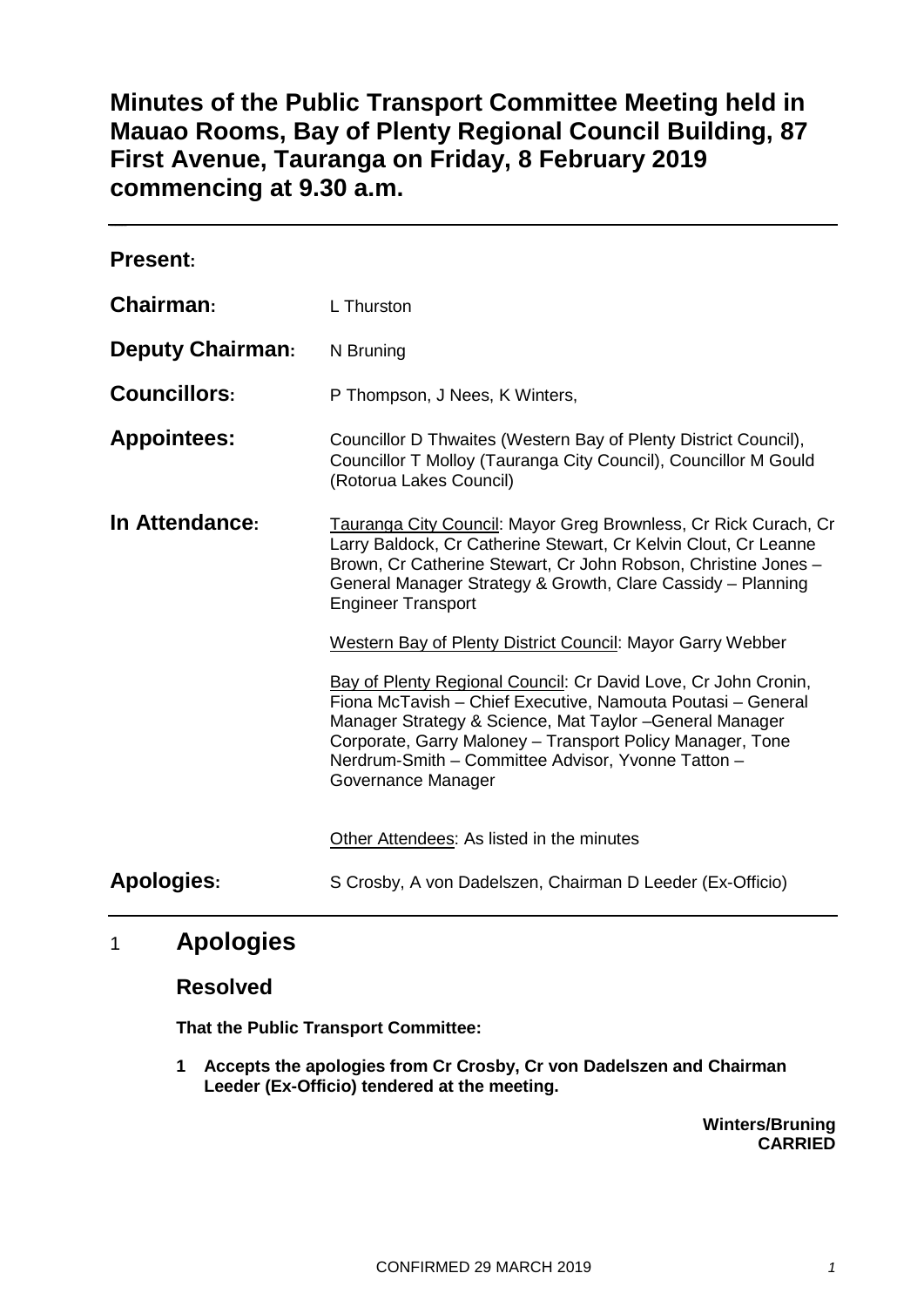# **Minutes of the Public Transport Committee Meeting held in Mauao Rooms, Bay of Plenty Regional Council Building, 87 First Avenue, Tauranga on Friday, 8 February 2019 commencing at 9.30 a.m.**

| <b>Present:</b>         |                                                                                                                                                                                                                                                                                                                                    |
|-------------------------|------------------------------------------------------------------------------------------------------------------------------------------------------------------------------------------------------------------------------------------------------------------------------------------------------------------------------------|
| Chairman:               | L Thurston                                                                                                                                                                                                                                                                                                                         |
| <b>Deputy Chairman:</b> | N Bruning                                                                                                                                                                                                                                                                                                                          |
| <b>Councillors:</b>     | P Thompson, J Nees, K Winters,                                                                                                                                                                                                                                                                                                     |
| <b>Appointees:</b>      | Councillor D Thwaites (Western Bay of Plenty District Council),<br>Councillor T Molloy (Tauranga City Council), Councillor M Gould<br>(Rotorua Lakes Council)                                                                                                                                                                      |
| In Attendance:          | Tauranga City Council: Mayor Greg Brownless, Cr Rick Curach, Cr<br>Larry Baldock, Cr Catherine Stewart, Cr Kelvin Clout, Cr Leanne<br>Brown, Cr Catherine Stewart, Cr John Robson, Christine Jones -<br>General Manager Strategy & Growth, Clare Cassidy - Planning<br><b>Engineer Transport</b>                                   |
|                         | Western Bay of Plenty District Council: Mayor Garry Webber                                                                                                                                                                                                                                                                         |
|                         | Bay of Plenty Regional Council: Cr David Love, Cr John Cronin,<br>Fiona McTavish - Chief Executive, Namouta Poutasi - General<br>Manager Strategy & Science, Mat Taylor - General Manager<br>Corporate, Garry Maloney - Transport Policy Manager, Tone<br>Nerdrum-Smith - Committee Advisor, Yvonne Tatton -<br>Governance Manager |
|                         | Other Attendees: As listed in the minutes                                                                                                                                                                                                                                                                                          |
| <b>Apologies:</b>       | S Crosby, A von Dadelszen, Chairman D Leeder (Ex-Officio)                                                                                                                                                                                                                                                                          |

## 1 **Apologies**

## **Resolved**

**That the Public Transport Committee:**

**1 Accepts the apologies from Cr Crosby, Cr von Dadelszen and Chairman Leeder (Ex-Officio) tendered at the meeting.**

> **Winters/Bruning CARRIED**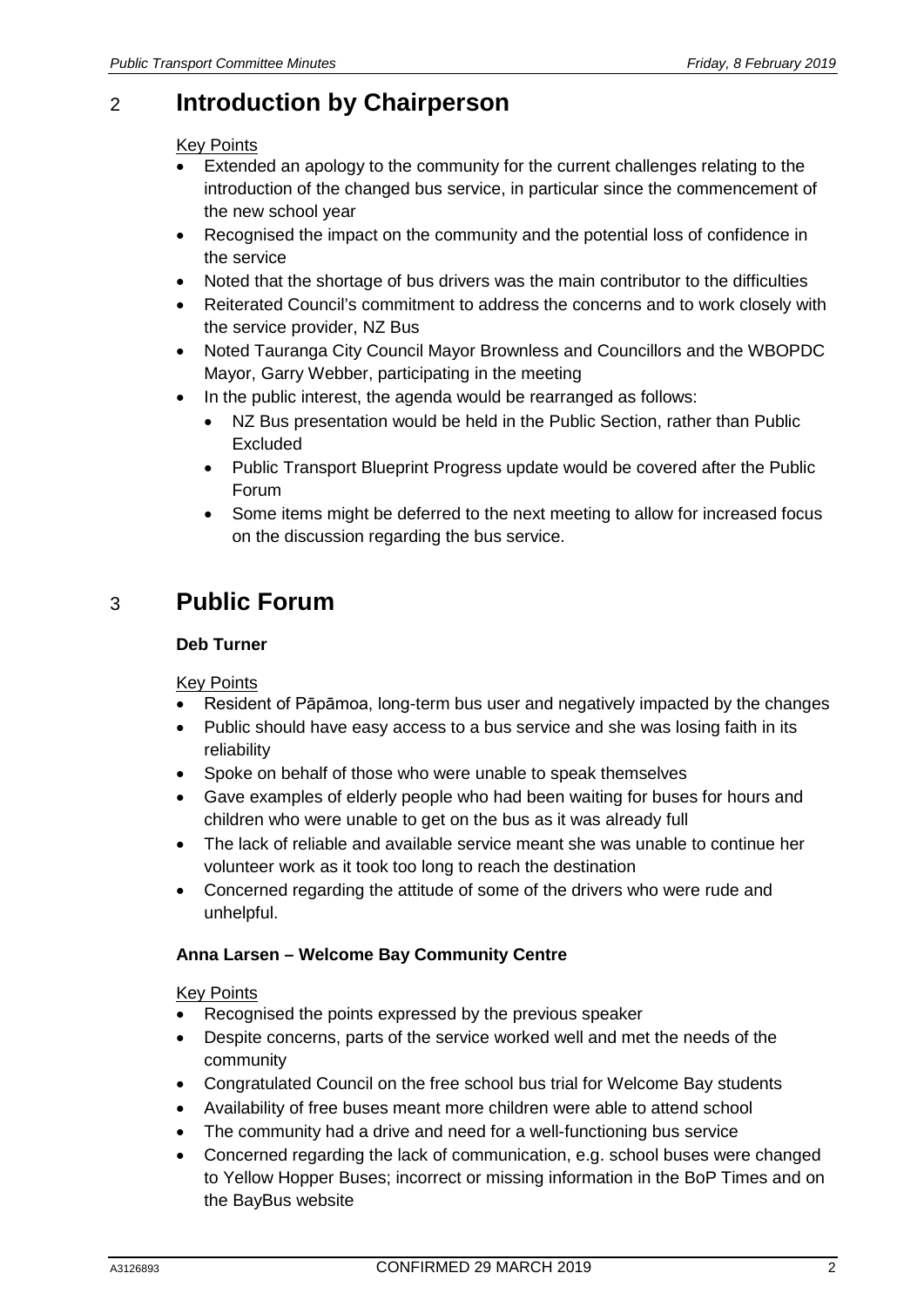# 2 **Introduction by Chairperson**

#### Key Points

- Extended an apology to the community for the current challenges relating to the introduction of the changed bus service, in particular since the commencement of the new school year
- Recognised the impact on the community and the potential loss of confidence in the service
- Noted that the shortage of bus drivers was the main contributor to the difficulties
- Reiterated Council's commitment to address the concerns and to work closely with the service provider, NZ Bus
- Noted Tauranga City Council Mayor Brownless and Councillors and the WBOPDC Mayor, Garry Webber, participating in the meeting
- In the public interest, the agenda would be rearranged as follows:
	- NZ Bus presentation would be held in the Public Section, rather than Public Excluded
	- Public Transport Blueprint Progress update would be covered after the Public Forum
	- Some items might be deferred to the next meeting to allow for increased focus on the discussion regarding the bus service.

# 3 **Public Forum**

#### **Deb Turner**

#### Key Points

- Resident of Pāpāmoa, long-term bus user and negatively impacted by the changes
- Public should have easy access to a bus service and she was losing faith in its reliability
- Spoke on behalf of those who were unable to speak themselves
- Gave examples of elderly people who had been waiting for buses for hours and children who were unable to get on the bus as it was already full
- The lack of reliable and available service meant she was unable to continue her volunteer work as it took too long to reach the destination
- Concerned regarding the attitude of some of the drivers who were rude and unhelpful.

#### **Anna Larsen – Welcome Bay Community Centre**

#### Key Points

- Recognised the points expressed by the previous speaker
- Despite concerns, parts of the service worked well and met the needs of the community
- Congratulated Council on the free school bus trial for Welcome Bay students
- Availability of free buses meant more children were able to attend school
- The community had a drive and need for a well-functioning bus service
- Concerned regarding the lack of communication, e.g. school buses were changed to Yellow Hopper Buses; incorrect or missing information in the BoP Times and on the BayBus website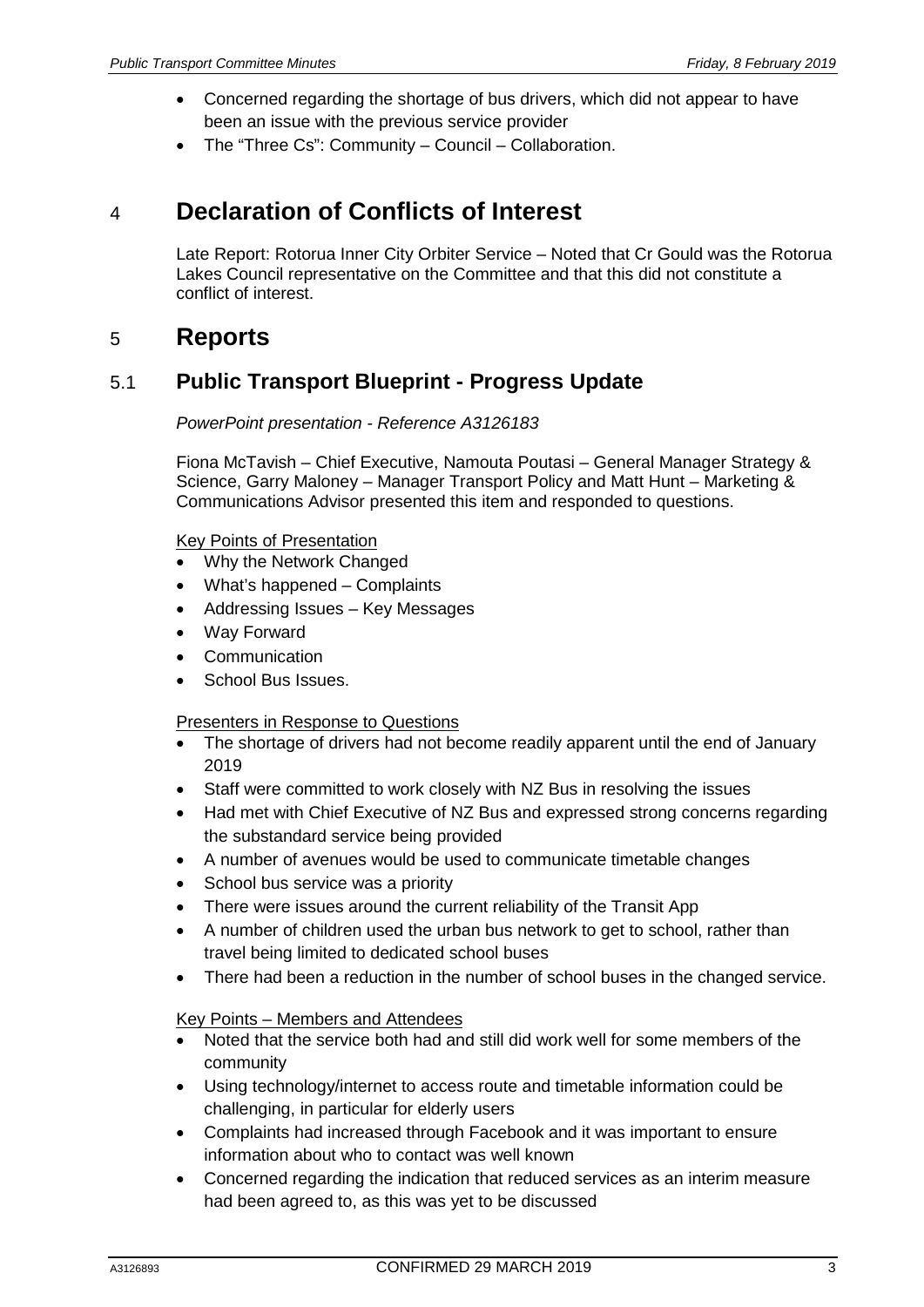- Concerned regarding the shortage of bus drivers, which did not appear to have been an issue with the previous service provider
- The "Three Cs": Community Council Collaboration.

# 4 **Declaration of Conflicts of Interest**

Late Report: Rotorua Inner City Orbiter Service – Noted that Cr Gould was the Rotorua Lakes Council representative on the Committee and that this did not constitute a conflict of interest.

## 5 **Reports**

## 5.1 **Public Transport Blueprint - Progress Update**

*PowerPoint presentation - Reference A3126183*

Fiona McTavish – Chief Executive, Namouta Poutasi – General Manager Strategy & Science, Garry Maloney – Manager Transport Policy and Matt Hunt – Marketing & Communications Advisor presented this item and responded to questions.

Key Points of Presentation

- Why the Network Changed
- What's happened Complaints
- Addressing Issues Key Messages
- Way Forward
- **Communication**
- School Bus Issues.

#### Presenters in Response to Questions

- The shortage of drivers had not become readily apparent until the end of January 2019
- Staff were committed to work closely with NZ Bus in resolving the issues
- Had met with Chief Executive of NZ Bus and expressed strong concerns regarding the substandard service being provided
- A number of avenues would be used to communicate timetable changes
- School bus service was a priority
- There were issues around the current reliability of the Transit App
- A number of children used the urban bus network to get to school, rather than travel being limited to dedicated school buses
- There had been a reduction in the number of school buses in the changed service.

#### Key Points – Members and Attendees

- Noted that the service both had and still did work well for some members of the community
- Using technology/internet to access route and timetable information could be challenging, in particular for elderly users
- Complaints had increased through Facebook and it was important to ensure information about who to contact was well known
- Concerned regarding the indication that reduced services as an interim measure had been agreed to, as this was yet to be discussed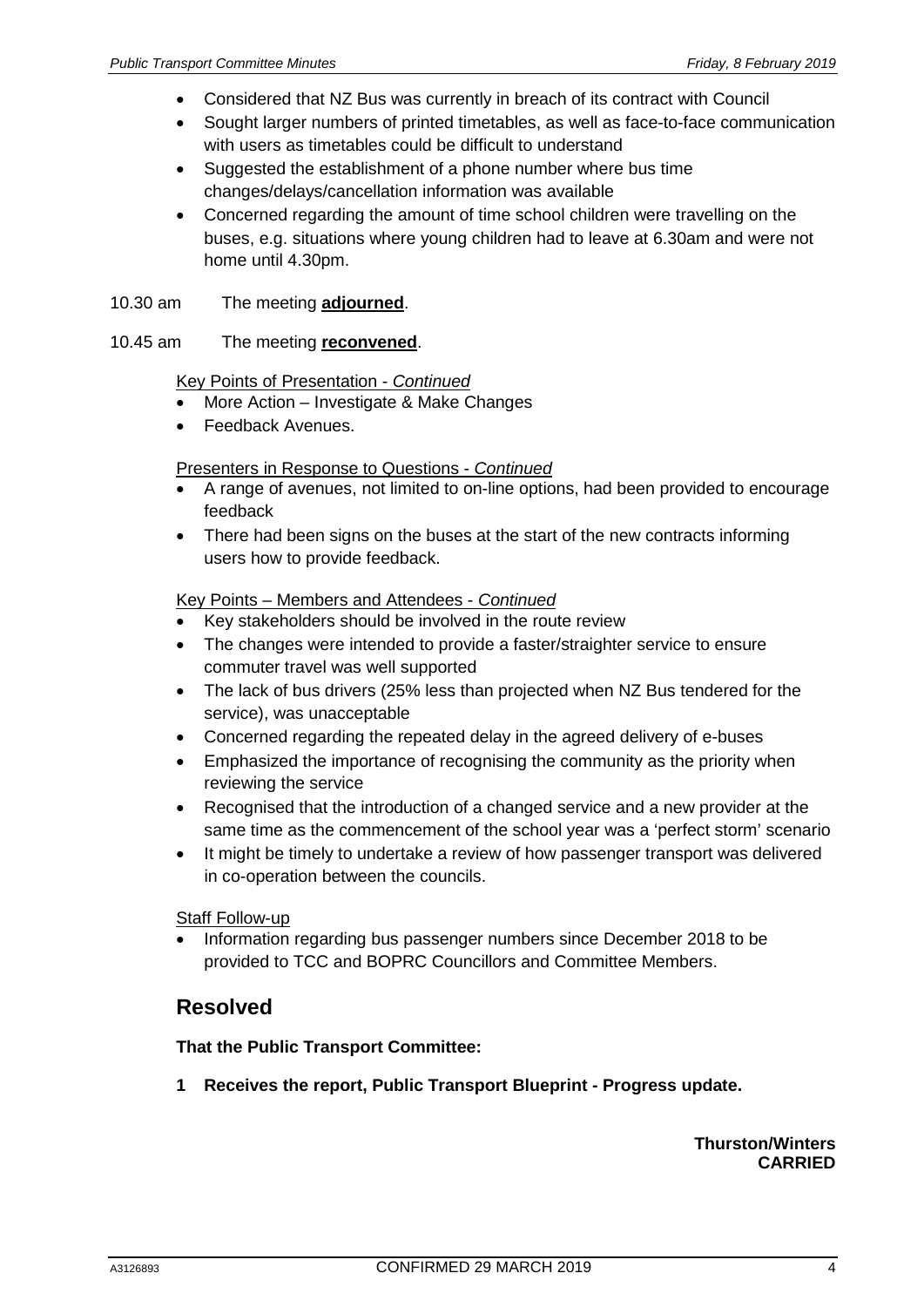- Considered that NZ Bus was currently in breach of its contract with Council
- Sought larger numbers of printed timetables, as well as face-to-face communication with users as timetables could be difficult to understand
- Suggested the establishment of a phone number where bus time changes/delays/cancellation information was available
- Concerned regarding the amount of time school children were travelling on the buses, e.g. situations where young children had to leave at 6.30am and were not home until 4.30pm.
- 10.30 am The meeting **adjourned**.
- 10.45 am The meeting **reconvened**.

#### Key Points of Presentation - *Continued*

- More Action Investigate & Make Changes
- Feedback Avenues.

#### Presenters in Response to Questions - *Continued*

- A range of avenues, not limited to on-line options, had been provided to encourage feedback
- There had been signs on the buses at the start of the new contracts informing users how to provide feedback.

#### Key Points – Members and Attendees - *Continued*

- Key stakeholders should be involved in the route review
- The changes were intended to provide a faster/straighter service to ensure commuter travel was well supported
- The lack of bus drivers (25% less than projected when NZ Bus tendered for the service), was unacceptable
- Concerned regarding the repeated delay in the agreed delivery of e-buses
- Emphasized the importance of recognising the community as the priority when reviewing the service
- Recognised that the introduction of a changed service and a new provider at the same time as the commencement of the school year was a 'perfect storm' scenario
- It might be timely to undertake a review of how passenger transport was delivered in co-operation between the councils.

**Staff Follow-up** 

• Information regarding bus passenger numbers since December 2018 to be provided to TCC and BOPRC Councillors and Committee Members.

## **Resolved**

#### **That the Public Transport Committee:**

**1 Receives the report, Public Transport Blueprint - Progress update.**

#### **Thurston/Winters CARRIED**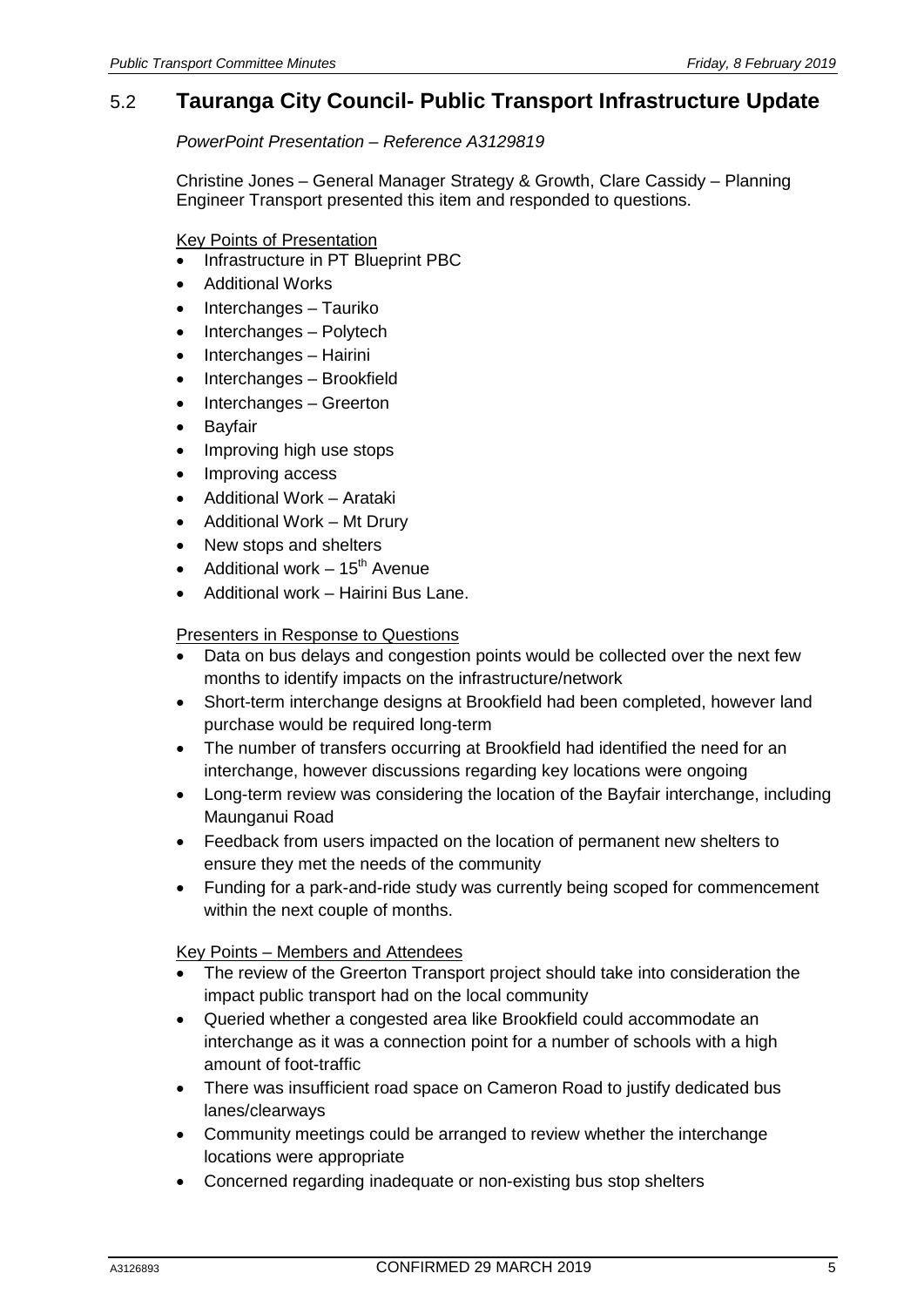## 5.2 **Tauranga City Council- Public Transport Infrastructure Update**

*PowerPoint Presentation – Reference A3129819*

Christine Jones – General Manager Strategy & Growth, Clare Cassidy – Planning Engineer Transport presented this item and responded to questions.

Key Points of Presentation

- Infrastructure in PT Blueprint PBC
- Additional Works
- Interchanges Tauriko
- Interchanges Polytech
- Interchanges Hairini
- Interchanges Brookfield
- Interchanges Greerton
- **Bayfair**
- Improving high use stops
- Improving access
- Additional Work Arataki
- Additional Work Mt Drury
- New stops and shelters
- Additional work  $-15<sup>th</sup>$  Avenue
- Additional work Hairini Bus Lane.

#### Presenters in Response to Questions

- Data on bus delays and congestion points would be collected over the next few months to identify impacts on the infrastructure/network
- Short-term interchange designs at Brookfield had been completed, however land purchase would be required long-term
- The number of transfers occurring at Brookfield had identified the need for an interchange, however discussions regarding key locations were ongoing
- Long-term review was considering the location of the Bayfair interchange, including Maunganui Road
- Feedback from users impacted on the location of permanent new shelters to ensure they met the needs of the community
- Funding for a park-and-ride study was currently being scoped for commencement within the next couple of months.

Key Points – Members and Attendees

- The review of the Greerton Transport project should take into consideration the impact public transport had on the local community
- Queried whether a congested area like Brookfield could accommodate an interchange as it was a connection point for a number of schools with a high amount of foot-traffic
- There was insufficient road space on Cameron Road to justify dedicated bus lanes/clearways
- Community meetings could be arranged to review whether the interchange locations were appropriate
- Concerned regarding inadequate or non-existing bus stop shelters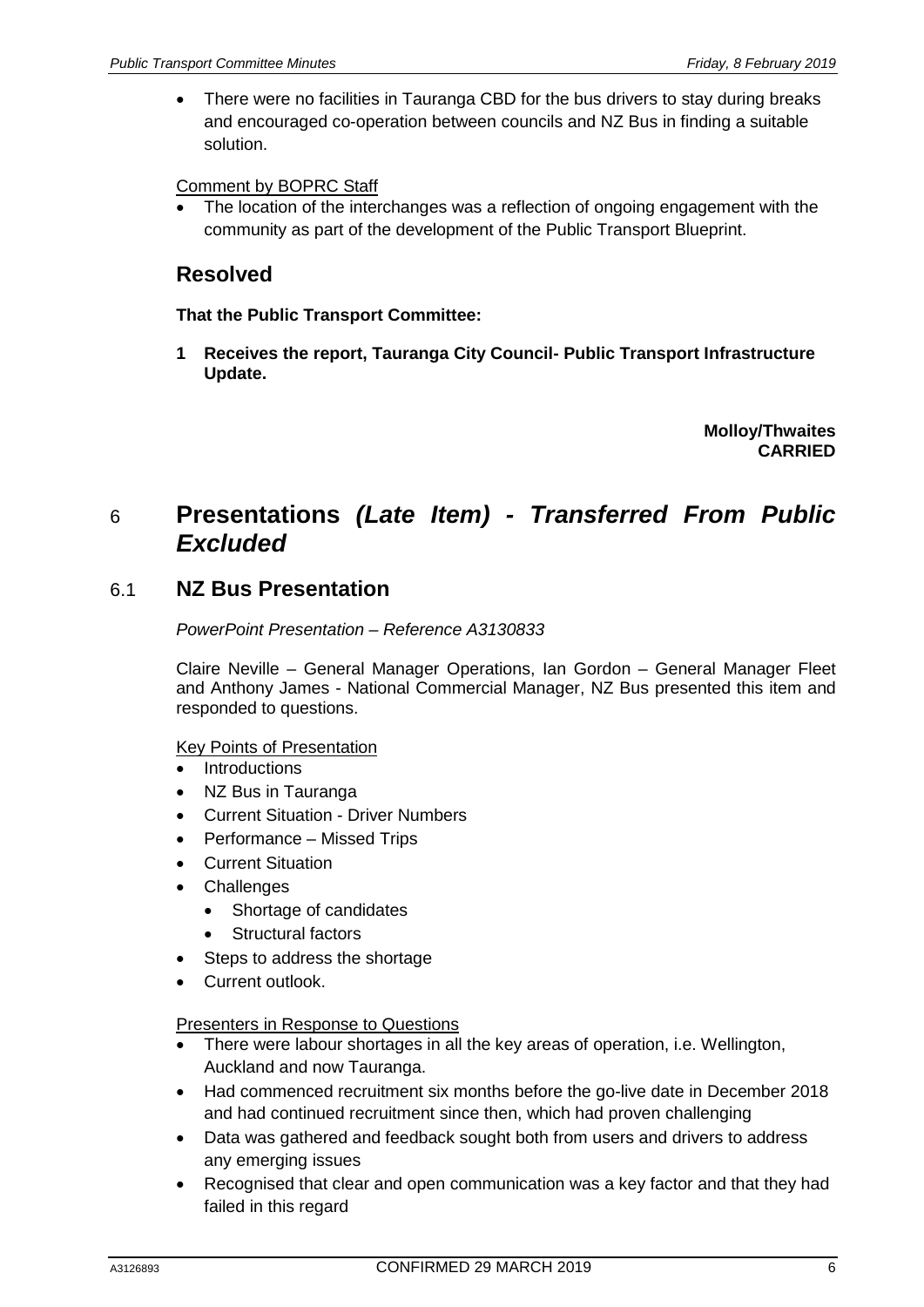• There were no facilities in Tauranga CBD for the bus drivers to stay during breaks and encouraged co-operation between councils and NZ Bus in finding a suitable solution.

#### Comment by BOPRC Staff

The location of the interchanges was a reflection of ongoing engagement with the community as part of the development of the Public Transport Blueprint.

## **Resolved**

#### **That the Public Transport Committee:**

**1 Receives the report, Tauranga City Council- Public Transport Infrastructure Update.**

> **Molloy/Thwaites CARRIED**

## 6 **Presentations** *(Late Item) - Transferred From Public Excluded*

## 6.1 **NZ Bus Presentation**

*PowerPoint Presentation – Reference A3130833*

Claire Neville – General Manager Operations, Ian Gordon – General Manager Fleet and Anthony James - National Commercial Manager, NZ Bus presented this item and responded to questions.

#### Key Points of Presentation

- Introductions
- NZ Bus in Tauranga
- Current Situation Driver Numbers
- Performance Missed Trips
- Current Situation
- Challenges
	- Shortage of candidates
	- Structural factors
- Steps to address the shortage
- Current outlook.

#### Presenters in Response to Questions

- There were labour shortages in all the key areas of operation, i.e. Wellington, Auckland and now Tauranga.
- Had commenced recruitment six months before the go-live date in December 2018 and had continued recruitment since then, which had proven challenging
- Data was gathered and feedback sought both from users and drivers to address any emerging issues
- Recognised that clear and open communication was a key factor and that they had failed in this regard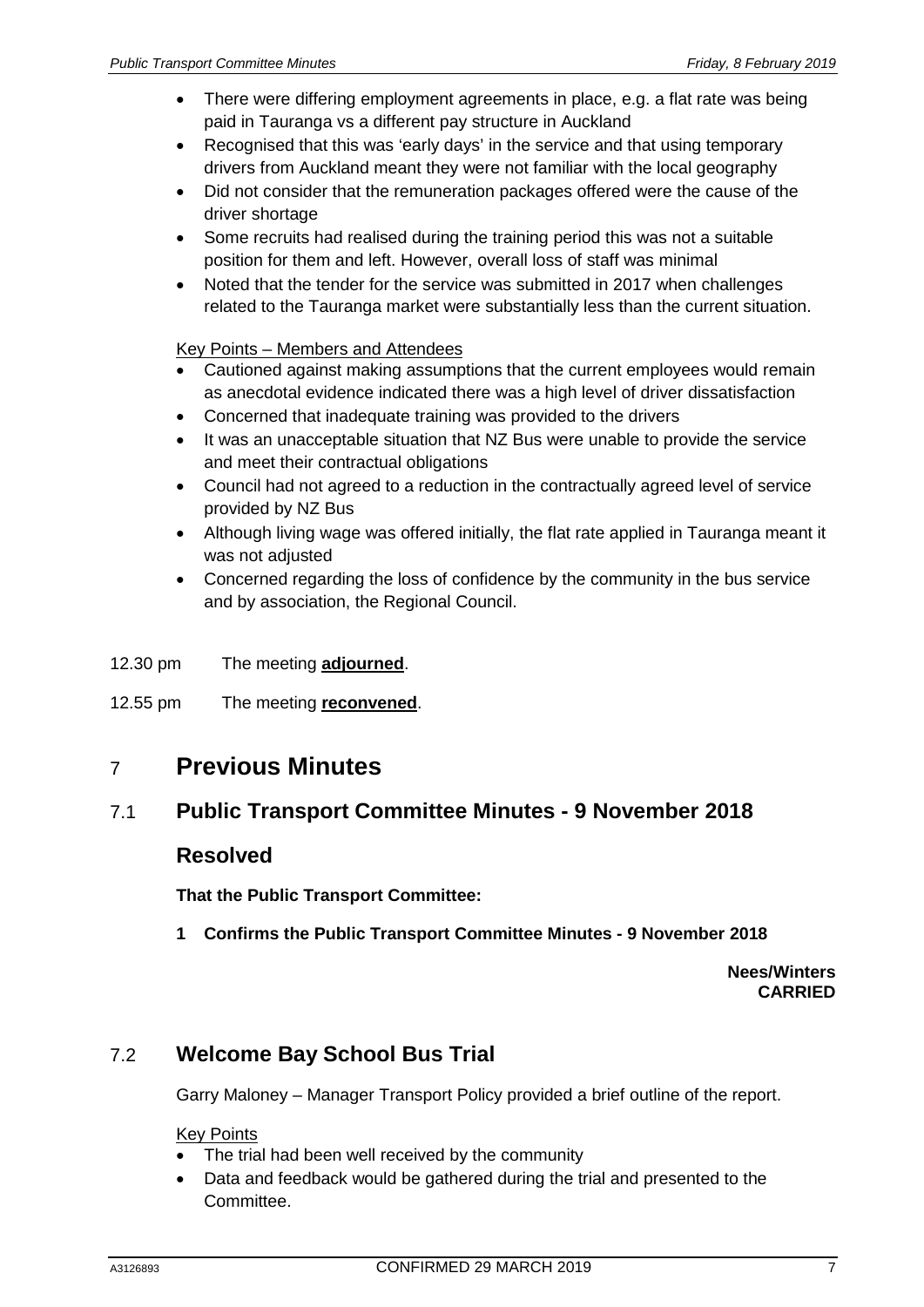- There were differing employment agreements in place, e.g. a flat rate was being paid in Tauranga vs a different pay structure in Auckland
- Recognised that this was 'early days' in the service and that using temporary drivers from Auckland meant they were not familiar with the local geography
- Did not consider that the remuneration packages offered were the cause of the driver shortage
- Some recruits had realised during the training period this was not a suitable position for them and left. However, overall loss of staff was minimal
- Noted that the tender for the service was submitted in 2017 when challenges related to the Tauranga market were substantially less than the current situation.

Key Points – Members and Attendees

- Cautioned against making assumptions that the current employees would remain as anecdotal evidence indicated there was a high level of driver dissatisfaction
- Concerned that inadequate training was provided to the drivers
- It was an unacceptable situation that NZ Bus were unable to provide the service and meet their contractual obligations
- Council had not agreed to a reduction in the contractually agreed level of service provided by NZ Bus
- Although living wage was offered initially, the flat rate applied in Tauranga meant it was not adjusted
- Concerned regarding the loss of confidence by the community in the bus service and by association, the Regional Council.
- 12.30 pm The meeting **adjourned**.
- 12.55 pm The meeting **reconvened**.

## 7 **Previous Minutes**

### 7.1 **Public Transport Committee Minutes - 9 November 2018**

## **Resolved**

**That the Public Transport Committee:**

**1 Confirms the Public Transport Committee Minutes - 9 November 2018**

**Nees/Winters CARRIED**

## 7.2 **Welcome Bay School Bus Trial**

Garry Maloney – Manager Transport Policy provided a brief outline of the report.

Key Points

- The trial had been well received by the community
- Data and feedback would be gathered during the trial and presented to the Committee.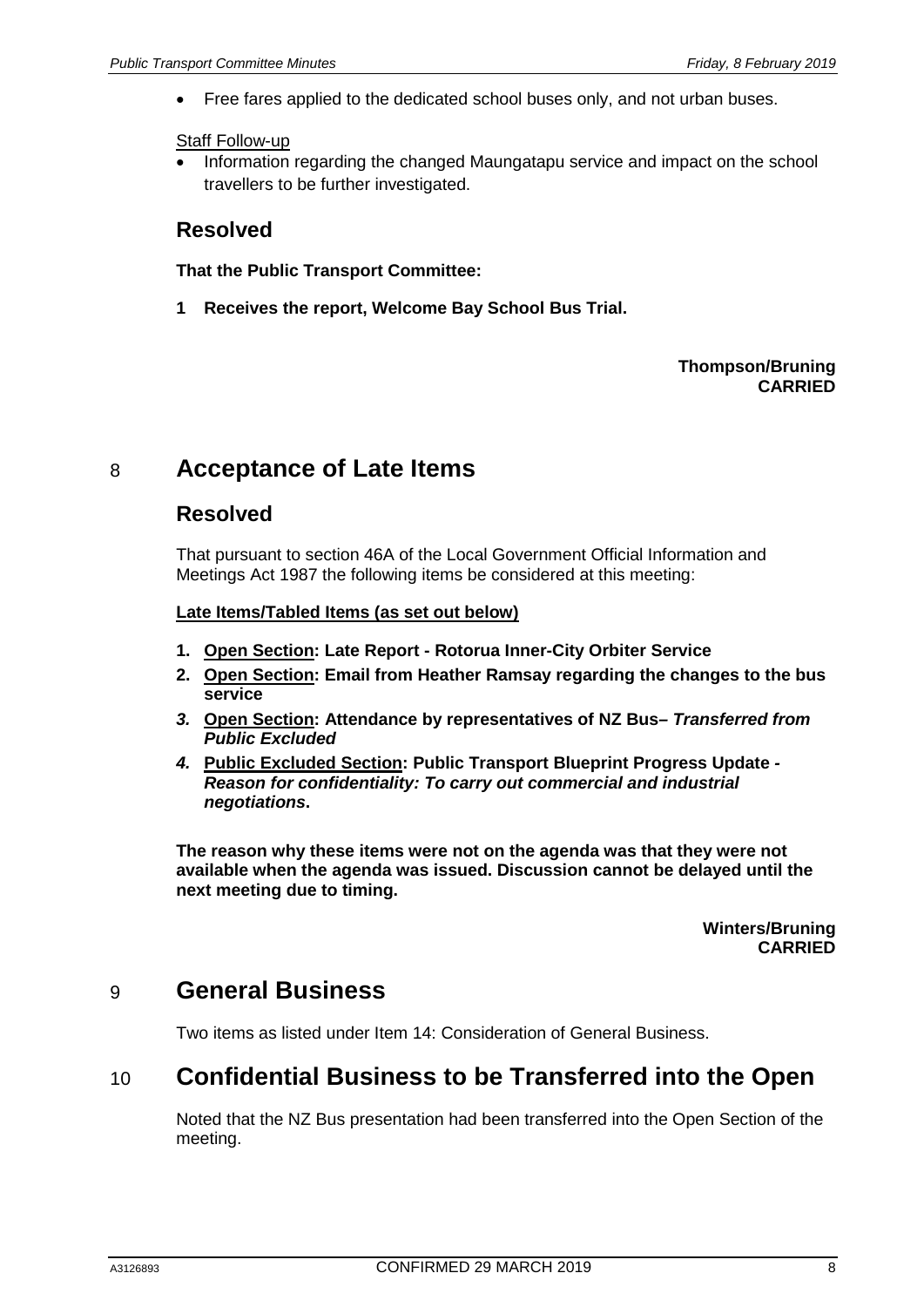• Free fares applied to the dedicated school buses only, and not urban buses.

#### Staff Follow-up

• Information regarding the changed Maungatapu service and impact on the school travellers to be further investigated.

## **Resolved**

**That the Public Transport Committee:**

**1 Receives the report, Welcome Bay School Bus Trial.**

#### **Thompson/Bruning CARRIED**

# 8 **Acceptance of Late Items**

## **Resolved**

That pursuant to section 46A of the Local Government Official Information and Meetings Act 1987 the following items be considered at this meeting:

#### **Late Items/Tabled Items (as set out below)**

- **1. Open Section: Late Report - Rotorua Inner-City Orbiter Service**
- **2. Open Section: Email from Heather Ramsay regarding the changes to the bus service**
- *3.* **Open Section: Attendance by representatives of NZ Bus***– Transferred from Public Excluded*
- *4.* **Public Excluded Section: Public Transport Blueprint Progress Update** *- Reason for confidentiality: To carry out commercial and industrial negotiations***.**

**The reason why these items were not on the agenda was that they were not available when the agenda was issued. Discussion cannot be delayed until the next meeting due to timing.**

> **Winters/Bruning CARRIED**

## 9 **General Business**

Two items as listed under Item 14: Consideration of General Business.

# 10 **Confidential Business to be Transferred into the Open**

Noted that the NZ Bus presentation had been transferred into the Open Section of the meeting.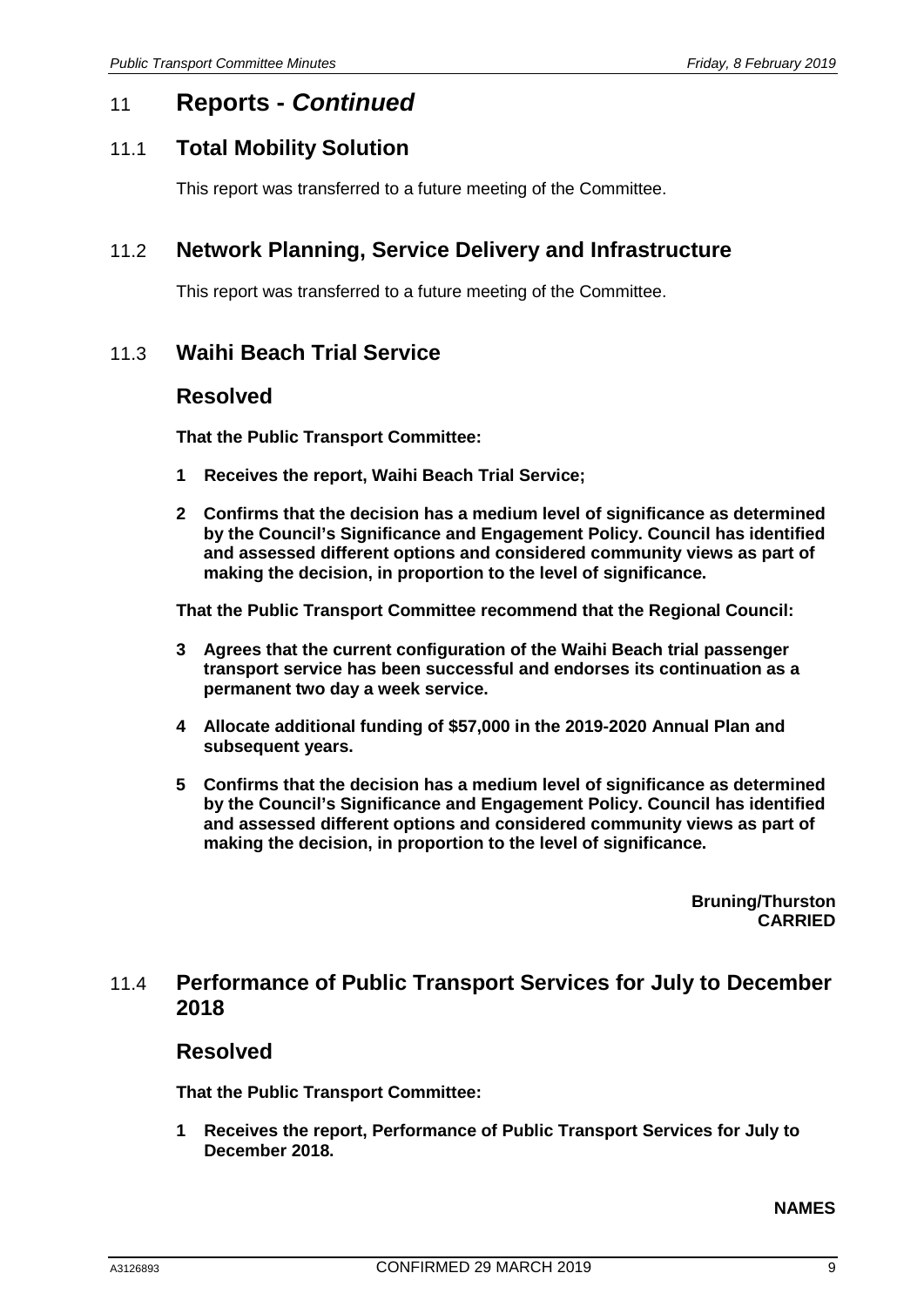## 11 **Reports -** *Continued*

## 11.1 **Total Mobility Solution**

This report was transferred to a future meeting of the Committee.

## 11.2 **Network Planning, Service Delivery and Infrastructure**

This report was transferred to a future meeting of the Committee.

## 11.3 **Waihi Beach Trial Service**

### **Resolved**

**That the Public Transport Committee:**

- **1 Receives the report, Waihi Beach Trial Service;**
- **2 Confirms that the decision has a medium level of significance as determined by the Council's Significance and Engagement Policy. Council has identified and assessed different options and considered community views as part of making the decision, in proportion to the level of significance.**

**That the Public Transport Committee recommend that the Regional Council:**

- **3 Agrees that the current configuration of the Waihi Beach trial passenger transport service has been successful and endorses its continuation as a permanent two day a week service.**
- **4 Allocate additional funding of \$57,000 in the 2019-2020 Annual Plan and subsequent years.**
- **5 Confirms that the decision has a medium level of significance as determined by the Council's Significance and Engagement Policy. Council has identified and assessed different options and considered community views as part of making the decision, in proportion to the level of significance.**

**Bruning/Thurston CARRIED**

## 11.4 **Performance of Public Transport Services for July to December 2018**

#### **Resolved**

**That the Public Transport Committee:**

**1 Receives the report, Performance of Public Transport Services for July to December 2018.**

#### **NAMES**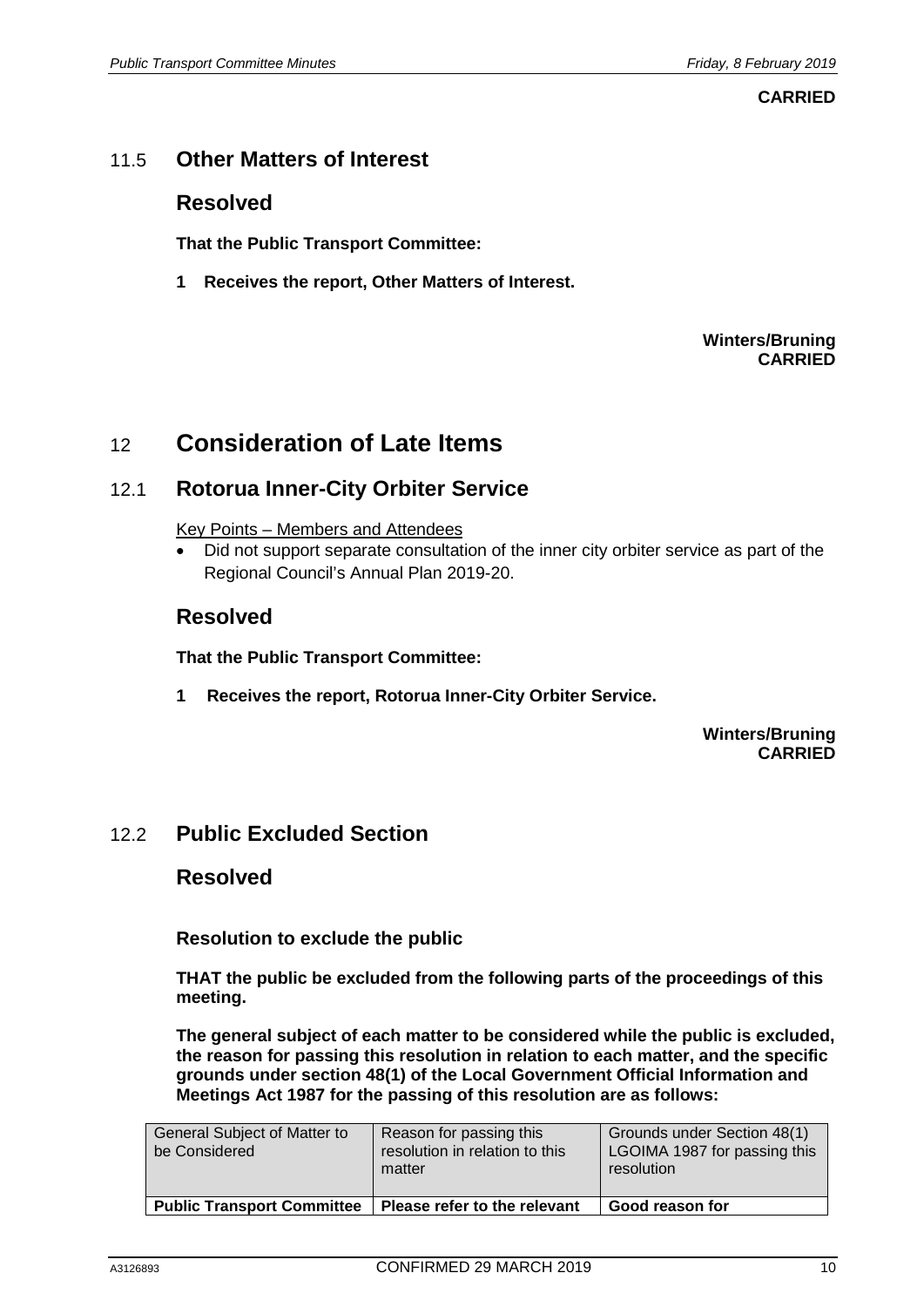**CARRIED**

## 11.5 **Other Matters of Interest**

### **Resolved**

**That the Public Transport Committee:**

**1 Receives the report, Other Matters of Interest.**

#### **Winters/Bruning CARRIED**

## 12 **Consideration of Late Items**

## 12.1 **Rotorua Inner-City Orbiter Service**

Key Points – Members and Attendees

• Did not support separate consultation of the inner city orbiter service as part of the Regional Council's Annual Plan 2019-20.

## **Resolved**

**That the Public Transport Committee:**

**1 Receives the report, Rotorua Inner-City Orbiter Service.**

**Winters/Bruning CARRIED**

## 12.2 **Public Excluded Section**

### **Resolved**

**Resolution to exclude the public**

**THAT the public be excluded from the following parts of the proceedings of this meeting.**

**The general subject of each matter to be considered while the public is excluded, the reason for passing this resolution in relation to each matter, and the specific grounds under section 48(1) of the Local Government Official Information and Meetings Act 1987 for the passing of this resolution are as follows:**

| General Subject of Matter to<br>be Considered | Reason for passing this<br>resolution in relation to this<br>matter | Grounds under Section 48(1)<br>LGOIMA 1987 for passing this<br>resolution |
|-----------------------------------------------|---------------------------------------------------------------------|---------------------------------------------------------------------------|
| <b>Public Transport Committee</b>             | Please refer to the relevant                                        | Good reason for                                                           |